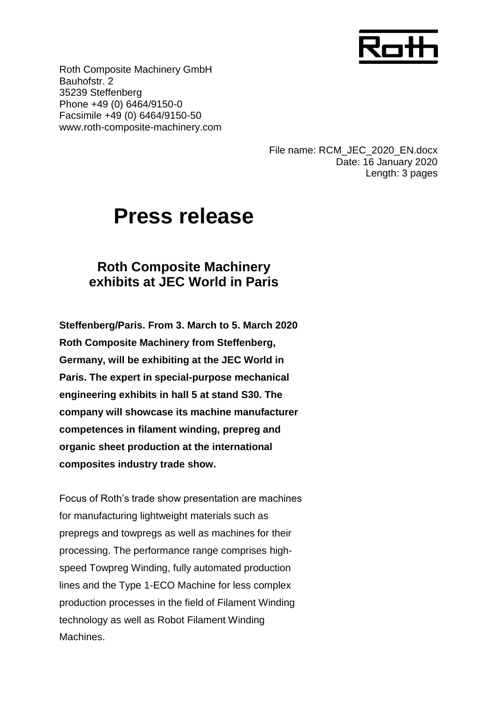

Roth Composite Machinery GmbH Bauhofstr. 2 35239 Steffenberg Phone +49 (0) 6464/9150-0 Facsimile +49 (0) 6464/9150-50 www.roth-composite-machinery.com

> File name: RCM\_JEC\_2020\_EN.docx Date: 16 January 2020 Length: 3 pages

## **Press release**

## **Roth Composite Machinery exhibits at JEC World in Paris**

**Steffenberg/Paris. From 3. March to 5. March 2020 Roth Composite Machinery from Steffenberg, Germany, will be exhibiting at the JEC World in Paris. The expert in special-purpose mechanical engineering exhibits in hall 5 at stand S30. The company will showcase its machine manufacturer competences in filament winding, prepreg and organic sheet production at the international composites industry trade show.**

Focus of Roth's trade show presentation are machines for manufacturing lightweight materials such as prepregs and towpregs as well as machines for their processing. The performance range comprises highspeed Towpreg Winding, fully automated production lines and the Type 1-ECO Machine for less complex production processes in the field of Filament Winding technology as well as Robot Filament Winding **Machines**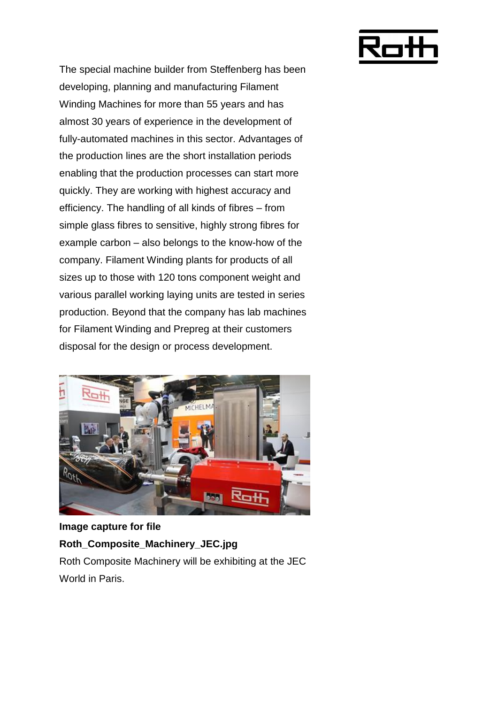

The special machine builder from Steffenberg has been developing, planning and manufacturing Filament Winding Machines for more than 55 years and has almost 30 years of experience in the development of fully-automated machines in this sector. Advantages of the production lines are the short installation periods enabling that the production processes can start more quickly. They are working with highest accuracy and efficiency. The handling of all kinds of fibres – from simple glass fibres to sensitive, highly strong fibres for example carbon – also belongs to the know-how of the company. Filament Winding plants for products of all sizes up to those with 120 tons component weight and various parallel working laying units are tested in series production. Beyond that the company has lab machines for Filament Winding and Prepreg at their customers disposal for the design or process development.



**Image capture for file Roth\_Composite\_Machinery\_JEC.jpg** Roth Composite Machinery will be exhibiting at the JEC World in Paris.